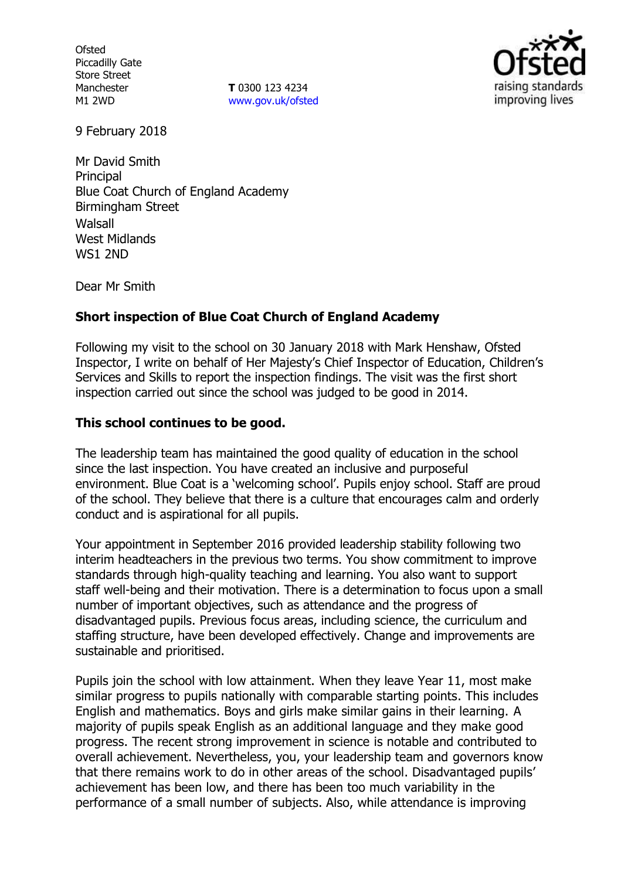**Ofsted** Piccadilly Gate Store Street Manchester M1 2WD

**T** 0300 123 4234 www.gov.uk/ofsted



9 February 2018

Mr David Smith **Principal** Blue Coat Church of England Academy Birmingham Street **Walsall** West Midlands WS1 2ND

Dear Mr Smith

# **Short inspection of Blue Coat Church of England Academy**

Following my visit to the school on 30 January 2018 with Mark Henshaw, Ofsted Inspector, I write on behalf of Her Majesty's Chief Inspector of Education, Children's Services and Skills to report the inspection findings. The visit was the first short inspection carried out since the school was judged to be good in 2014.

### **This school continues to be good.**

The leadership team has maintained the good quality of education in the school since the last inspection. You have created an inclusive and purposeful environment. Blue Coat is a 'welcoming school'. Pupils enjoy school. Staff are proud of the school. They believe that there is a culture that encourages calm and orderly conduct and is aspirational for all pupils.

Your appointment in September 2016 provided leadership stability following two interim headteachers in the previous two terms. You show commitment to improve standards through high-quality teaching and learning. You also want to support staff well-being and their motivation. There is a determination to focus upon a small number of important objectives, such as attendance and the progress of disadvantaged pupils. Previous focus areas, including science, the curriculum and staffing structure, have been developed effectively. Change and improvements are sustainable and prioritised.

Pupils join the school with low attainment. When they leave Year 11, most make similar progress to pupils nationally with comparable starting points. This includes English and mathematics. Boys and girls make similar gains in their learning. A majority of pupils speak English as an additional language and they make good progress. The recent strong improvement in science is notable and contributed to overall achievement. Nevertheless, you, your leadership team and governors know that there remains work to do in other areas of the school. Disadvantaged pupils' achievement has been low, and there has been too much variability in the performance of a small number of subjects. Also, while attendance is improving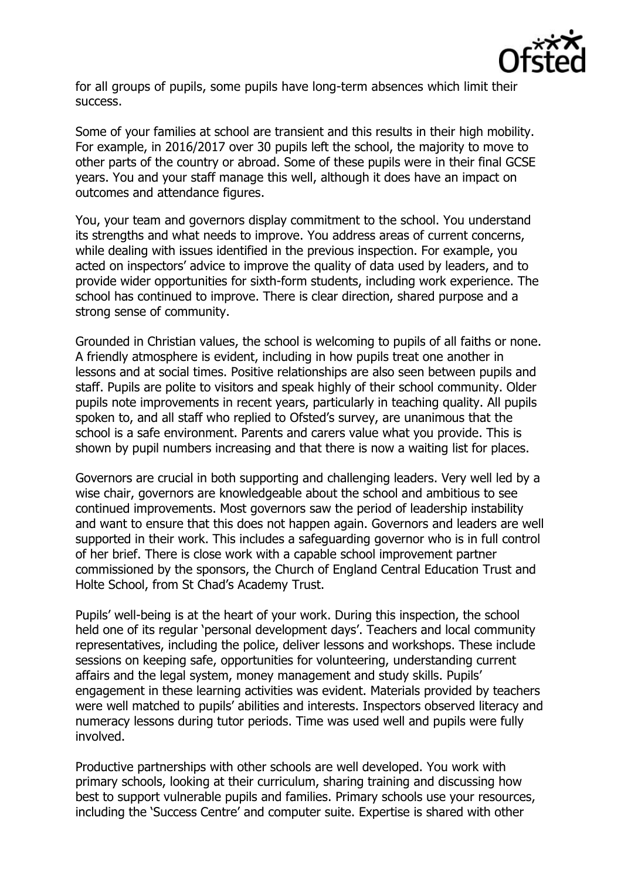

for all groups of pupils, some pupils have long-term absences which limit their success.

Some of your families at school are transient and this results in their high mobility. For example, in 2016/2017 over 30 pupils left the school, the majority to move to other parts of the country or abroad. Some of these pupils were in their final GCSE years. You and your staff manage this well, although it does have an impact on outcomes and attendance figures.

You, your team and governors display commitment to the school. You understand its strengths and what needs to improve. You address areas of current concerns, while dealing with issues identified in the previous inspection. For example, you acted on inspectors' advice to improve the quality of data used by leaders, and to provide wider opportunities for sixth-form students, including work experience. The school has continued to improve. There is clear direction, shared purpose and a strong sense of community.

Grounded in Christian values, the school is welcoming to pupils of all faiths or none. A friendly atmosphere is evident, including in how pupils treat one another in lessons and at social times. Positive relationships are also seen between pupils and staff. Pupils are polite to visitors and speak highly of their school community. Older pupils note improvements in recent years, particularly in teaching quality. All pupils spoken to, and all staff who replied to Ofsted's survey, are unanimous that the school is a safe environment. Parents and carers value what you provide. This is shown by pupil numbers increasing and that there is now a waiting list for places.

Governors are crucial in both supporting and challenging leaders. Very well led by a wise chair, governors are knowledgeable about the school and ambitious to see continued improvements. Most governors saw the period of leadership instability and want to ensure that this does not happen again. Governors and leaders are well supported in their work. This includes a safeguarding governor who is in full control of her brief. There is close work with a capable school improvement partner commissioned by the sponsors, the Church of England Central Education Trust and Holte School, from St Chad's Academy Trust.

Pupils' well-being is at the heart of your work. During this inspection, the school held one of its regular 'personal development days'. Teachers and local community representatives, including the police, deliver lessons and workshops. These include sessions on keeping safe, opportunities for volunteering, understanding current affairs and the legal system, money management and study skills. Pupils' engagement in these learning activities was evident. Materials provided by teachers were well matched to pupils' abilities and interests. Inspectors observed literacy and numeracy lessons during tutor periods. Time was used well and pupils were fully involved.

Productive partnerships with other schools are well developed. You work with primary schools, looking at their curriculum, sharing training and discussing how best to support vulnerable pupils and families. Primary schools use your resources, including the 'Success Centre' and computer suite. Expertise is shared with other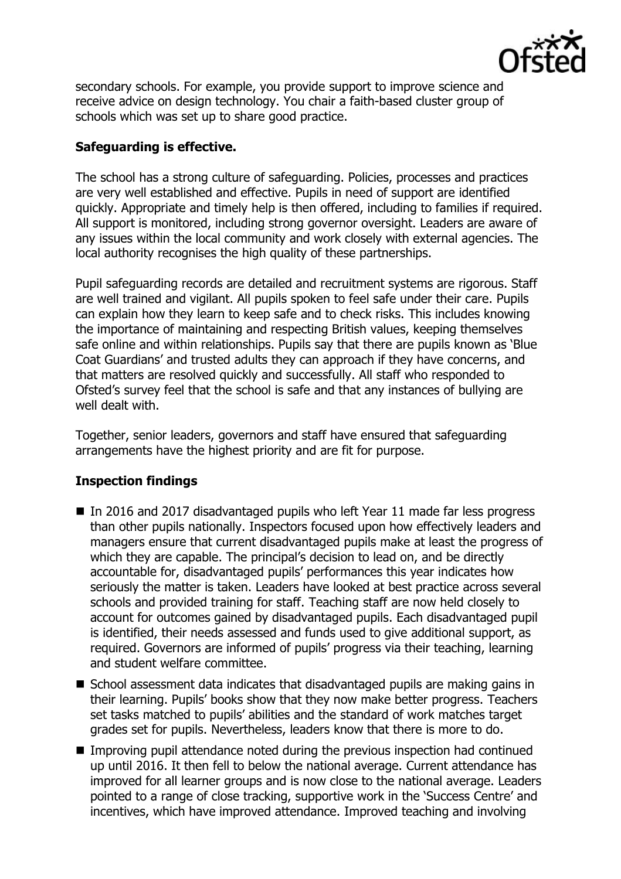

secondary schools. For example, you provide support to improve science and receive advice on design technology. You chair a faith-based cluster group of schools which was set up to share good practice.

### **Safeguarding is effective.**

The school has a strong culture of safeguarding. Policies, processes and practices are very well established and effective. Pupils in need of support are identified quickly. Appropriate and timely help is then offered, including to families if required. All support is monitored, including strong governor oversight. Leaders are aware of any issues within the local community and work closely with external agencies. The local authority recognises the high quality of these partnerships.

Pupil safeguarding records are detailed and recruitment systems are rigorous. Staff are well trained and vigilant. All pupils spoken to feel safe under their care. Pupils can explain how they learn to keep safe and to check risks. This includes knowing the importance of maintaining and respecting British values, keeping themselves safe online and within relationships. Pupils say that there are pupils known as 'Blue Coat Guardians' and trusted adults they can approach if they have concerns, and that matters are resolved quickly and successfully. All staff who responded to Ofsted's survey feel that the school is safe and that any instances of bullying are well dealt with.

Together, senior leaders, governors and staff have ensured that safeguarding arrangements have the highest priority and are fit for purpose.

# **Inspection findings**

- In 2016 and 2017 disadvantaged pupils who left Year 11 made far less progress than other pupils nationally. Inspectors focused upon how effectively leaders and managers ensure that current disadvantaged pupils make at least the progress of which they are capable. The principal's decision to lead on, and be directly accountable for, disadvantaged pupils' performances this year indicates how seriously the matter is taken. Leaders have looked at best practice across several schools and provided training for staff. Teaching staff are now held closely to account for outcomes gained by disadvantaged pupils. Each disadvantaged pupil is identified, their needs assessed and funds used to give additional support, as required. Governors are informed of pupils' progress via their teaching, learning and student welfare committee.
- School assessment data indicates that disadvantaged pupils are making gains in their learning. Pupils' books show that they now make better progress. Teachers set tasks matched to pupils' abilities and the standard of work matches target grades set for pupils. Nevertheless, leaders know that there is more to do.
- **IMPROVING PUPILE 11 Interpollet attendance noted during the previous inspection had continued** up until 2016. It then fell to below the national average. Current attendance has improved for all learner groups and is now close to the national average. Leaders pointed to a range of close tracking, supportive work in the 'Success Centre' and incentives, which have improved attendance. Improved teaching and involving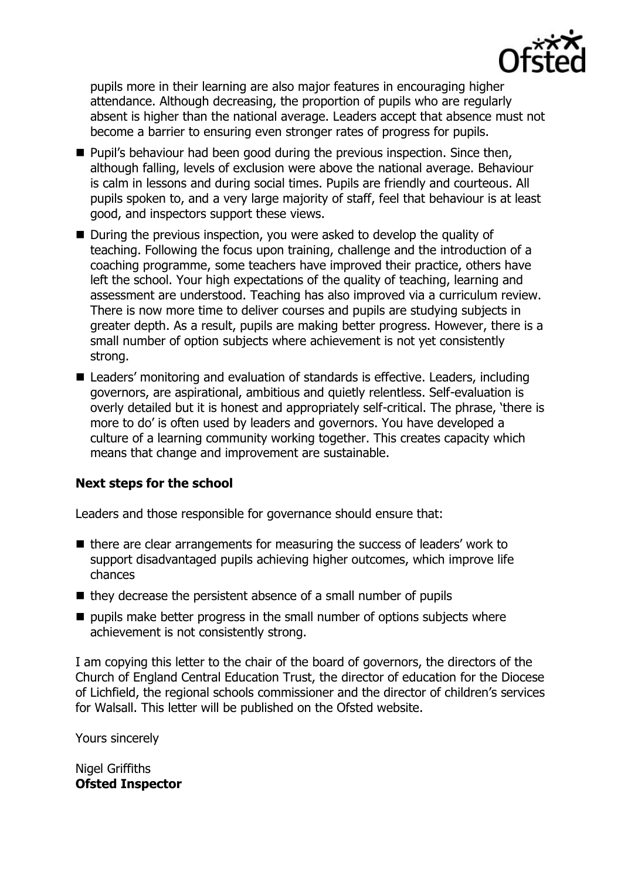

pupils more in their learning are also major features in encouraging higher attendance. Although decreasing, the proportion of pupils who are regularly absent is higher than the national average. Leaders accept that absence must not become a barrier to ensuring even stronger rates of progress for pupils.

- **Pupil's behaviour had been good during the previous inspection. Since then,** although falling, levels of exclusion were above the national average. Behaviour is calm in lessons and during social times. Pupils are friendly and courteous. All pupils spoken to, and a very large majority of staff, feel that behaviour is at least good, and inspectors support these views.
- During the previous inspection, you were asked to develop the quality of teaching. Following the focus upon training, challenge and the introduction of a coaching programme, some teachers have improved their practice, others have left the school. Your high expectations of the quality of teaching, learning and assessment are understood. Teaching has also improved via a curriculum review. There is now more time to deliver courses and pupils are studying subjects in greater depth. As a result, pupils are making better progress. However, there is a small number of option subjects where achievement is not yet consistently strong.
- Leaders' monitoring and evaluation of standards is effective. Leaders, including governors, are aspirational, ambitious and quietly relentless. Self-evaluation is overly detailed but it is honest and appropriately self-critical. The phrase, 'there is more to do' is often used by leaders and governors. You have developed a culture of a learning community working together. This creates capacity which means that change and improvement are sustainable.

### **Next steps for the school**

Leaders and those responsible for governance should ensure that:

- $\blacksquare$  there are clear arrangements for measuring the success of leaders' work to support disadvantaged pupils achieving higher outcomes, which improve life chances
- $\blacksquare$  they decrease the persistent absence of a small number of pupils
- $\blacksquare$  pupils make better progress in the small number of options subjects where achievement is not consistently strong.

I am copying this letter to the chair of the board of governors, the directors of the Church of England Central Education Trust, the director of education for the Diocese of Lichfield, the regional schools commissioner and the director of children's services for Walsall. This letter will be published on the Ofsted website.

Yours sincerely

Nigel Griffiths **Ofsted Inspector**